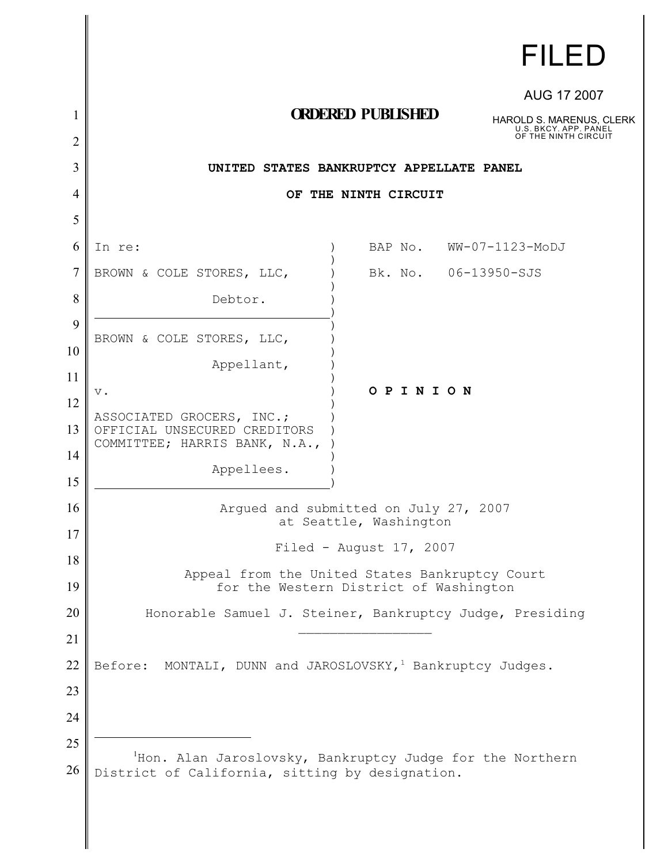|                | <b>FILED</b>                                                                         |
|----------------|--------------------------------------------------------------------------------------|
|                | AUG 17 2007                                                                          |
| 1              | <b>ORDERED PUBLISHED</b><br><b>HAROLD S. MARENUS, CLERK</b><br>U.S. BKCY. APP. PANEL |
| $\overline{2}$ | OF THE NINTH CIRCUIT                                                                 |
| 3              | UNITED STATES BANKRUPTCY APPELLATE PANEL                                             |
| 4              | OF THE NINTH CIRCUIT                                                                 |
| 5              |                                                                                      |
| 6              | WW-07-1123-MoDJ<br>BAP No.<br>In re:                                                 |
| 7              | Bk. No. 06-13950-SJS<br>BROWN & COLE STORES, LLC,                                    |
| 8              | Debtor.                                                                              |
| 9              | BROWN & COLE STORES, LLC,                                                            |
| 10             | Appellant,                                                                           |
| 11             | OPINION<br>$V$ .                                                                     |
| 12             | ASSOCIATED GROCERS, INC.;                                                            |
| 13             | OFFICIAL UNSECURED CREDITORS<br>COMMITTEE; HARRIS BANK, N.A.,                        |
| 14             | Appellees.                                                                           |
| 15             |                                                                                      |
| 16             | Arqued and submitted on July 27, 2007<br>at Seattle, Washington                      |
| 17             | Filed - August $17, 2007$                                                            |
| 18             | Appeal from the United States Bankruptcy Court                                       |
| 19             | for the Western District of Washington                                               |
| 20             | Honorable Samuel J. Steiner, Bankruptcy Judge, Presiding                             |
| 21             |                                                                                      |
| 22             | Before: MONTALI, DUNN and JAROSLOVSKY, <sup>1</sup> Bankruptcy Judges.               |
| 23             |                                                                                      |
| 24             |                                                                                      |
| 25             | Hon. Alan Jaroslovsky, Bankruptcy Judge for the Northern                             |
| 26             | District of California, sitting by designation.                                      |

I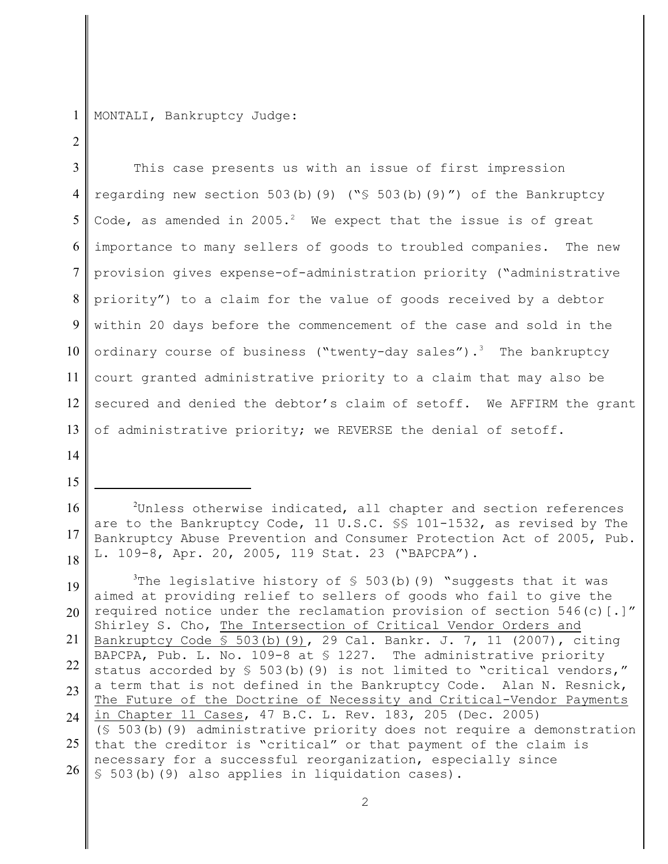1 MONTALI, Bankruptcy Judge:

3 4 5 6 7 8 9 10 11 12 13 This case presents us with an issue of first impression regarding new section 503(b)(9) (" $\frac{1}{5}$  503(b)(9)") of the Bankruptcy Code, as amended in  $2005.^2$  We expect that the issue is of great importance to many sellers of goods to troubled companies. The new provision gives expense-of-administration priority ("administrative priority") to a claim for the value of goods received by a debtor within 20 days before the commencement of the case and sold in the ordinary course of business ("twenty-day sales").<sup>3</sup> The bankruptcy court granted administrative priority to a claim that may also be secured and denied the debtor's claim of setoff. We AFFIRM the grant of administrative priority; we REVERSE the denial of setoff.

14

15

 $\mathfrak{D}$ 

19 20 21 22 23  $24$ 25 26 The legislative history of  $\frac{1}{5}$  503(b)(9) "suggests that it was aimed at providing relief to sellers of goods who fail to give the required notice under the reclamation provision of section  $546(c)$  [.]" Shirley S. Cho, The Intersection of Critical Vendor Orders and Bankruptcy Code § 503(b)(9), 29 Cal. Bankr. J. 7, 11 (2007), citing BAPCPA, Pub. L. No. 109-8 at § 1227. The administrative priority status accorded by  $\frac{1}{5}$  503(b)(9) is not limited to "critical vendors," a term that is not defined in the Bankruptcy Code. Alan N. Resnick, The Future of the Doctrine of Necessity and Critical-Vendor Payments in Chapter 11 Cases, 47 B.C. L. Rev. 183, 205 (Dec. 2005) (§ 503(b)(9) administrative priority does not require a demonstration that the creditor is "critical" or that payment of the claim is necessary for a successful reorganization, especially since § 503(b)(9) also applies in liquidation cases).

<sup>16</sup> 17 18  $2$ Unless otherwise indicated, all chapter and section references are to the Bankruptcy Code, 11 U.S.C. §§ 101-1532, as revised by The Bankruptcy Abuse Prevention and Consumer Protection Act of 2005, Pub. L. 109-8, Apr. 20, 2005, 119 Stat. 23 ("BAPCPA").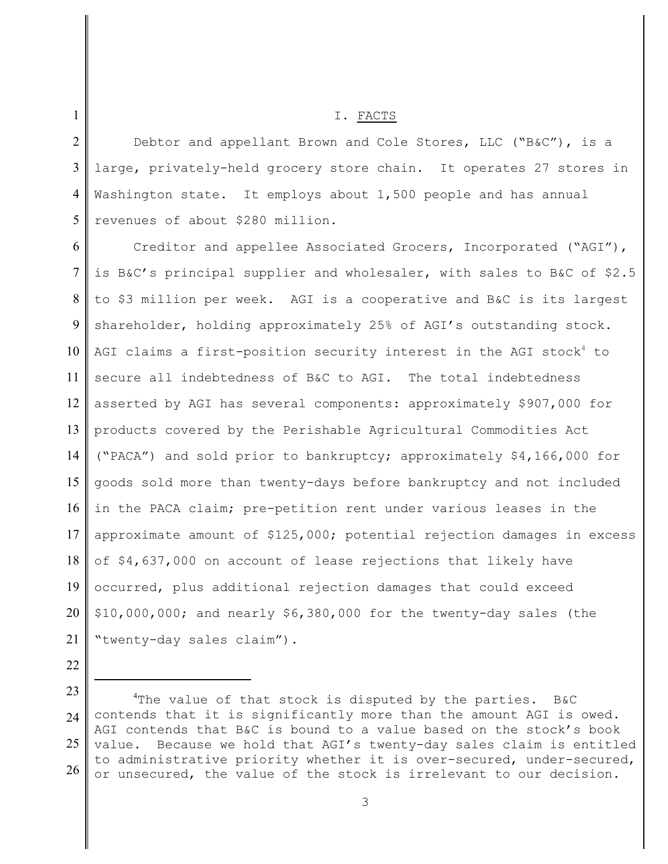## I. FACTS

2 3 4 5 Debtor and appellant Brown and Cole Stores, LLC ("B&C"), is a large, privately-held grocery store chain. It operates 27 stores in Washington state. It employs about 1,500 people and has annual revenues of about \$280 million.

6 7 8 9 10 11 12 13 14 15 16 17 18 19 20 21 Creditor and appellee Associated Grocers, Incorporated ("AGI"), is B&C's principal supplier and wholesaler, with sales to B&C of \$2.5 to \$3 million per week. AGI is a cooperative and B&C is its largest shareholder, holding approximately 25% of AGI's outstanding stock. AGI claims a first-position security interest in the AGI stock<sup>4</sup> to secure all indebtedness of B&C to AGI. The total indebtedness asserted by AGI has several components: approximately \$907,000 for products covered by the Perishable Agricultural Commodities Act ("PACA") and sold prior to bankruptcy; approximately \$4,166,000 for goods sold more than twenty-days before bankruptcy and not included in the PACA claim; pre-petition rent under various leases in the approximate amount of \$125,000; potential rejection damages in excess of \$4,637,000 on account of lease rejections that likely have occurred, plus additional rejection damages that could exceed \$10,000,000; and nearly \$6,380,000 for the twenty-day sales (the "twenty-day sales claim").

1

<sup>22</sup>

<sup>23</sup>  $24$ 25 26 <sup>4</sup>The value of that stock is disputed by the parties. B&C contends that it is significantly more than the amount AGI is owed. AGI contends that B&C is bound to a value based on the stock's book value. Because we hold that AGI's twenty-day sales claim is entitled to administrative priority whether it is over-secured, under-secured, or unsecured, the value of the stock is irrelevant to our decision.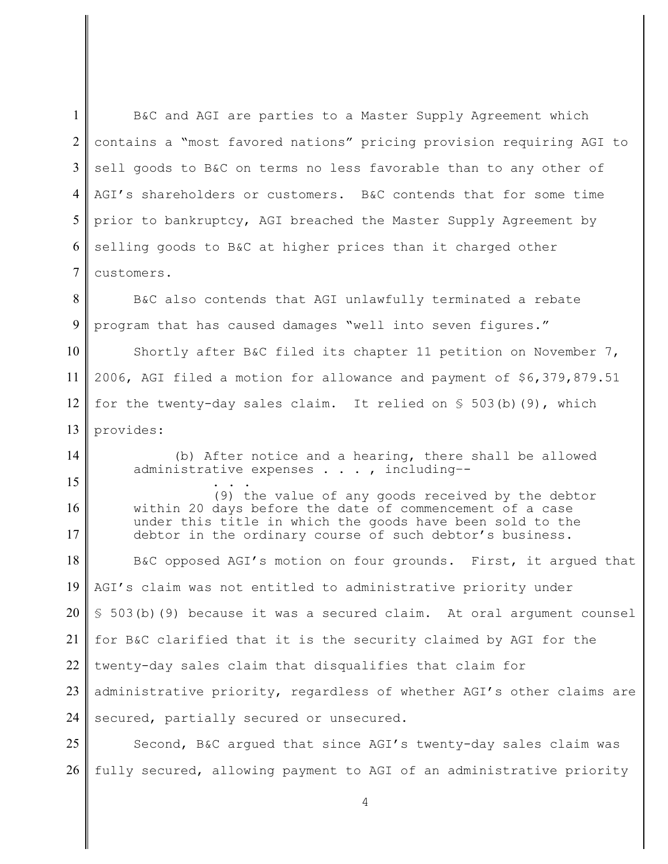1  $\mathcal{L}$ 3 4 5 6 7 8 9 10 11 12 13 14 15 16 17 18 19 20 21 22 23 24 25 26 B&C and AGI are parties to a Master Supply Agreement which contains a "most favored nations" pricing provision requiring AGI to sell goods to B&C on terms no less favorable than to any other of AGI's shareholders or customers. B&C contends that for some time prior to bankruptcy, AGI breached the Master Supply Agreement by selling goods to B&C at higher prices than it charged other customers. B&C also contends that AGI unlawfully terminated a rebate program that has caused damages "well into seven figures." Shortly after B&C filed its chapter 11 petition on November 7, 2006, AGI filed a motion for allowance and payment of \$6,379,879.51 for the twenty-day sales claim. It relied on  $\S$  503(b)(9), which provides: (b) After notice and a hearing, there shall be allowed administrative expenses . . . , including–- . . . (9) the value of any goods received by the debtor within 20 days before the date of commencement of a case under this title in which the goods have been sold to the debtor in the ordinary course of such debtor's business. B&C opposed AGI's motion on four grounds. First, it argued that AGI's claim was not entitled to administrative priority under § 503(b)(9) because it was a secured claim. At oral argument counsel for B&C clarified that it is the security claimed by AGI for the twenty-day sales claim that disqualifies that claim for administrative priority, regardless of whether AGI's other claims are secured, partially secured or unsecured. Second, B&C argued that since AGI's twenty-day sales claim was fully secured, allowing payment to AGI of an administrative priority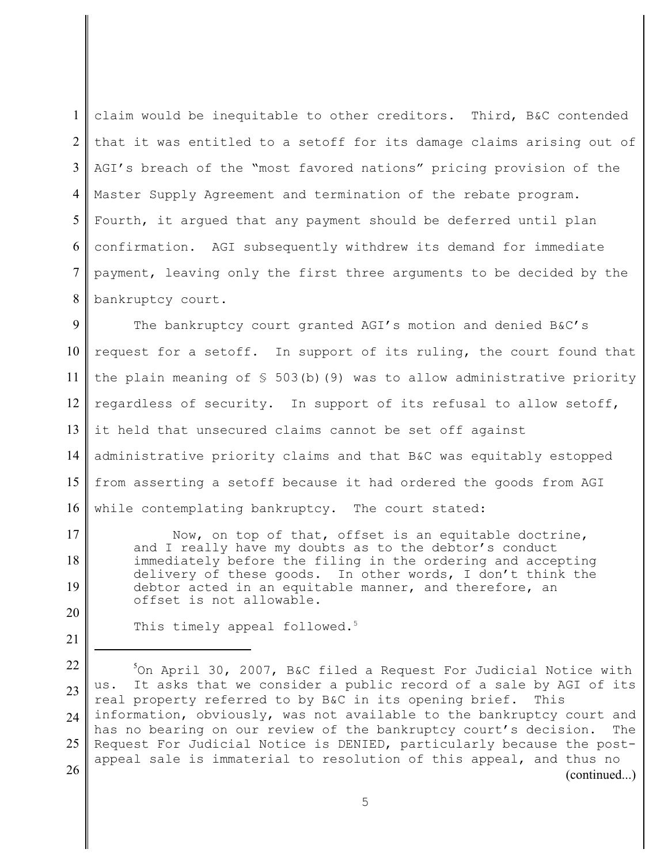| 1   claim would be inequitable to other creditors. Third, B&C contended  |
|--------------------------------------------------------------------------|
| 2 that it was entitled to a setoff for its damage claims arising out of  |
| 3   AGI's breach of the "most favored nations" pricing provision of the  |
| 4 Master Supply Agreement and termination of the rebate program.         |
| 5 Fourth, it argued that any payment should be deferred until plan       |
| 6 confirmation. AGI subsequently withdrew its demand for immediate       |
| 7   payment, leaving only the first three arguments to be decided by the |
| 8   bankruptcy court.                                                    |

9 10 11 12 13 14 15 16 The bankruptcy court granted AGI's motion and denied B&C's request for a setoff. In support of its ruling, the court found that the plain meaning of  $$503(b)(9)$  was to allow administrative priority regardless of security. In support of its refusal to allow setoff, it held that unsecured claims cannot be set off against administrative priority claims and that B&C was equitably estopped from asserting a setoff because it had ordered the goods from AGI while contemplating bankruptcy. The court stated:

Now, on top of that, offset is an equitable doctrine, and I really have my doubts as to the debtor's conduct immediately before the filing in the ordering and accepting delivery of these goods. In other words, I don't think the debtor acted in an equitable manner, and therefore, an offset is not allowable.

This timely appeal followed.<sup>5</sup>

17

18

19

20

<sup>22</sup> 23 24 25 26  $\text{On April } 30$ , 2007, B&C filed a Request For Judicial Notice with us. It asks that we consider a public record of a sale by AGI of its real property referred to by B&C in its opening brief. This information, obviously, was not available to the bankruptcy court and has no bearing on our review of the bankruptcy court's decision. The Request For Judicial Notice is DENIED, particularly because the postappeal sale is immaterial to resolution of this appeal, and thus no (continued...)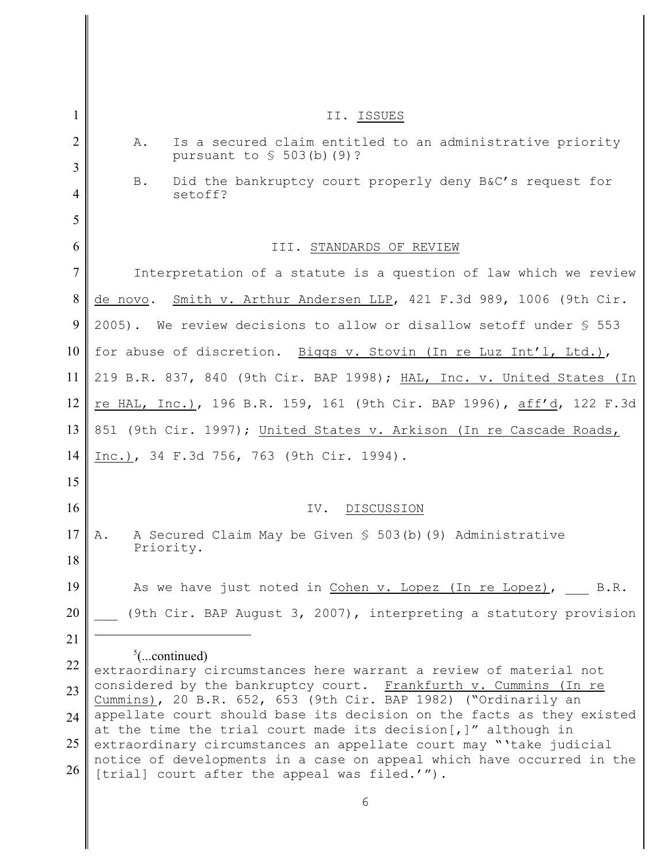| 1      | II. ISSUES                                                                                                                          |
|--------|-------------------------------------------------------------------------------------------------------------------------------------|
| 2<br>3 | Is a secured claim entitled to an administrative priority<br>Α.<br>pursuant to $\frac{1}{5}$ 503(b)(9)?                             |
| 4      | Did the bankruptcy court properly deny B&C's request for<br><b>B.</b><br>setoff?                                                    |
| 5      |                                                                                                                                     |
| 6      | III. STANDARDS OF REVIEW                                                                                                            |
| 7      | Interpretation of a statute is a question of law which we review                                                                    |
| 8      | Smith v. Arthur Andersen LLP, 421 F.3d 989, 1006 (9th Cir.<br>de novo.                                                              |
| 9      | 2005). We review decisions to allow or disallow setoff under \$ 553                                                                 |
| 10     | for abuse of discretion. Biggs v. Stovin (In re Luz Int'l, Ltd.),                                                                   |
| 11     | 219 B.R. 837, 840 (9th Cir. BAP 1998); HAL, Inc. v. United States (In                                                               |
| 12     | re HAL, Inc.), 196 B.R. 159, 161 (9th Cir. BAP 1996), aff'd, 122 F.3d                                                               |
| 13     | 851 (9th Cir. 1997); United States v. Arkison (In re Cascade Roads,                                                                 |
| 14     | Inc.), 34 F.3d 756, 763 (9th Cir. 1994).                                                                                            |
| 15     |                                                                                                                                     |
| 16     | DISCUSSION<br>IV.                                                                                                                   |
| 17     | A Secured Claim May be Given § 503(b) (9) Administrative<br>Α.                                                                      |
| 18     | Priority.                                                                                                                           |
| 19     | As we have just noted in Cohen v. Lopez (In re Lopez), B.R.                                                                         |
| 20     | (9th Cir. BAP August 3, 2007), interpreting a statutory provision                                                                   |
| 21     |                                                                                                                                     |
| 22     | $\frac{5}{2}$ (continued)<br>extraordinary circumstances here warrant a review of material not                                      |
| 23     | considered by the bankruptcy court. Frankfurth v. Cummins (In re<br>Cummins), 20 B.R. 652, 653 (9th Cir. BAP 1982) ("Ordinarily an  |
| 24     | appellate court should base its decision on the facts as they existed                                                               |
| 25     | at the time the trial court made its decision[,]" although in<br>extraordinary circumstances an appellate court may "'take judicial |
| 26     | notice of developments in a case on appeal which have occurred in the<br>[trial] court after the appeal was filed.'").              |
|        | 6                                                                                                                                   |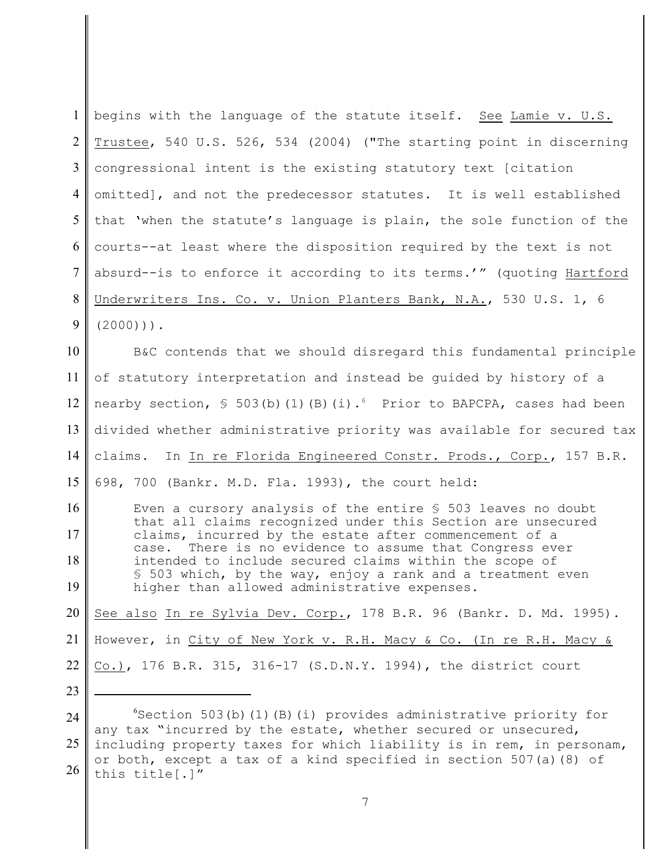| $\mathbf{1}$   | begins with the language of the statute itself. See Lamie v. U.S.                                                                           |
|----------------|---------------------------------------------------------------------------------------------------------------------------------------------|
| $\overline{2}$ | Trustee, 540 U.S. 526, 534 (2004) ("The starting point in discerning                                                                        |
| $\overline{3}$ | congressional intent is the existing statutory text [citation                                                                               |
| $\overline{4}$ | omitted], and not the predecessor statutes. It is well established                                                                          |
| 5              | that 'when the statute's language is plain, the sole function of the                                                                        |
| 6              | courts--at least where the disposition required by the text is not                                                                          |
| $\overline{7}$ | absurd--is to enforce it according to its terms.'" (quoting Hartford                                                                        |
| 8              | Underwriters Ins. Co. v. Union Planters Bank, N.A., 530 U.S. 1, 6                                                                           |
| 9              | $(2000))$ .                                                                                                                                 |
| 10             | B&C contends that we should disregard this fundamental principle                                                                            |
| 11             | of statutory interpretation and instead be quided by history of a                                                                           |
| 12             | nearby section, $\frac{1}{5}$ 503(b)(1)(B)(i). <sup>6</sup> Prior to BAPCPA, cases had been                                                 |
| 13             | divided whether administrative priority was available for secured tax                                                                       |
| 14             | claims. In In re Florida Engineered Constr. Prods., Corp., 157 B.R.                                                                         |
| 15             | 698, 700 (Bankr. M.D. Fla. 1993), the court held:                                                                                           |
| 16             | Even a cursory analysis of the entire $S$ 503 leaves no doubt                                                                               |
| 17             | that all claims recognized under this Section are unsecured<br>claims, incurred by the estate after commencement of a                       |
| 18             | There is no evidence to assume that Congress ever<br>case.<br>intended to include secured claims within the scope of                        |
| 19             | \$ 503 which, by the way, enjoy a rank and a treatment even<br>higher than allowed administrative expenses.                                 |
| 20             | See also In re Sylvia Dev. Corp., 178 B.R. 96 (Bankr. D. Md. 1995).                                                                         |
| 21             | However, in City of New York v. R.H. Macy & Co. (In re R.H. Macy &                                                                          |
| 22             | Co.), 176 B.R. 315, 316-17 (S.D.N.Y. 1994), the district court                                                                              |
| 23             |                                                                                                                                             |
| 24             | <sup>6</sup> Section 503(b)(1)(B)(i) provides administrative priority for<br>any tax "incurred by the estate, whether secured or unsecured, |
| 25             | including property taxes for which liability is in rem, in personam,                                                                        |
| 26             | or both, except a tax of a kind specified in section 507(a) (8) of<br>this title[.]"                                                        |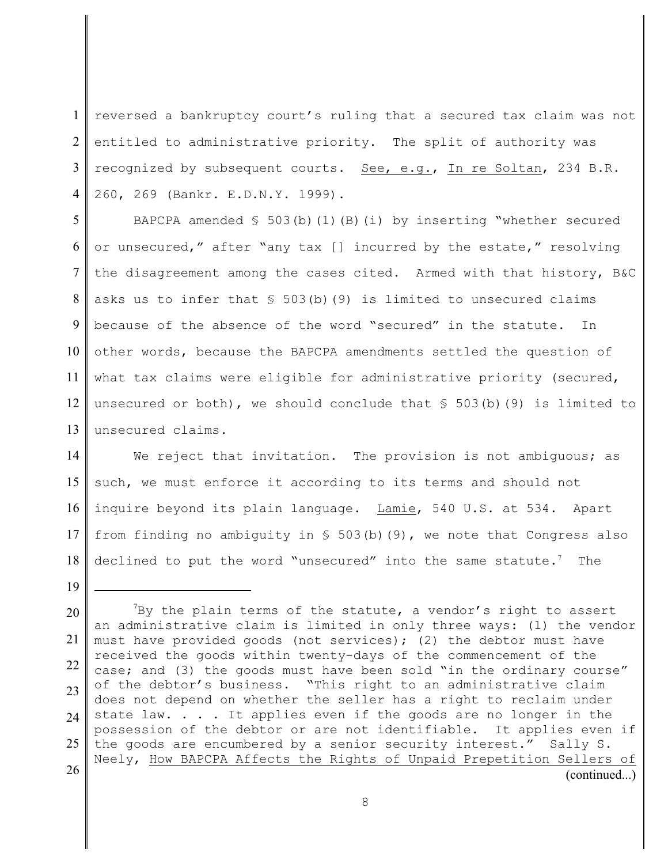1  $\mathcal{L}$ 3 4 reversed a bankruptcy court's ruling that a secured tax claim was not entitled to administrative priority. The split of authority was recognized by subsequent courts. See, e.g., In re Soltan, 234 B.R. 260, 269 (Bankr. E.D.N.Y. 1999).

5 6 7 8 9 10 11 12 13 BAPCPA amended  $\$$  503(b)(1)(B)(i) by inserting "whether secured or unsecured," after "any tax [] incurred by the estate," resolving the disagreement among the cases cited. Armed with that history, B&C asks us to infer that  $$503(b)(9)$  is limited to unsecured claims because of the absence of the word "secured" in the statute. In other words, because the BAPCPA amendments settled the question of what tax claims were eligible for administrative priority (secured, unsecured or both), we should conclude that  $\S$  503(b)(9) is limited to unsecured claims.

14 15 16 17 18 We reject that invitation. The provision is not ambiguous; as such, we must enforce it according to its terms and should not inquire beyond its plain language. Lamie, 540 U.S. at 534. Apart from finding no ambiguity in  $S$  503(b)(9), we note that Congress also declined to put the word "unsecured" into the same statute.<sup>7</sup> The

19

20 21 22 23  $24$ 25 26 'By the plain terms of the statute, a vendor's right to assert an administrative claim is limited in only three ways: (1) the vendor must have provided goods (not services); (2) the debtor must have received the goods within twenty-days of the commencement of the case; and (3) the goods must have been sold "in the ordinary course" of the debtor's business. "This right to an administrative claim does not depend on whether the seller has a right to reclaim under state law. . . . It applies even if the goods are no longer in the possession of the debtor or are not identifiable. It applies even if the goods are encumbered by a senior security interest." Sally S. Neely, How BAPCPA Affects the Rights of Unpaid Prepetition Sellers of (continued...)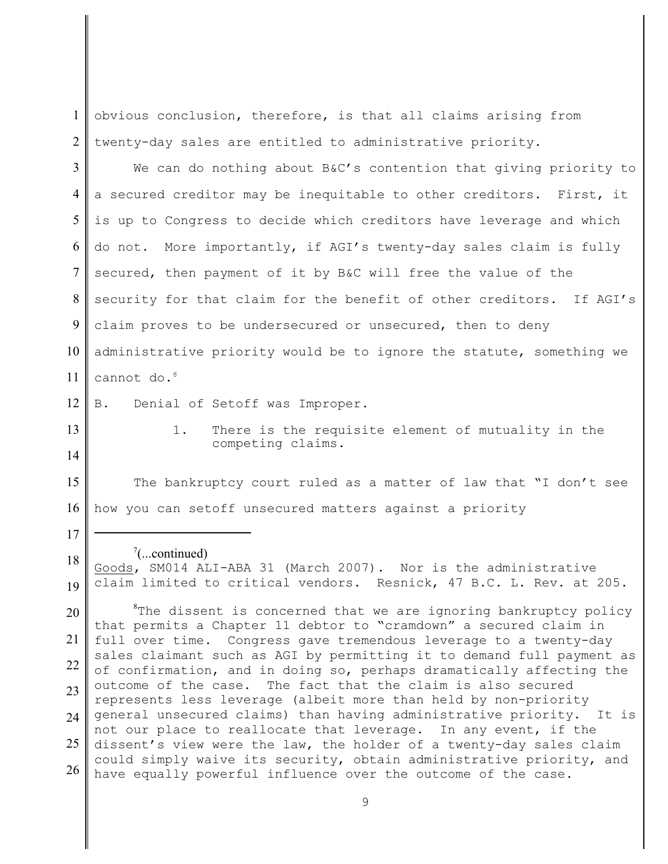1  $\mathfrak{D}$ obvious conclusion, therefore, is that all claims arising from twenty-day sales are entitled to administrative priority.

3 4 5 6 7 8 9 10 11 We can do nothing about B&C's contention that giving priority to a secured creditor may be inequitable to other creditors. First, it is up to Congress to decide which creditors have leverage and which do not. More importantly, if AGI's twenty-day sales claim is fully secured, then payment of it by B&C will free the value of the security for that claim for the benefit of other creditors. If AGI's claim proves to be undersecured or unsecured, then to deny administrative priority would be to ignore the statute, something we cannot do.<sup>8</sup>

12 B. Denial of Setoff was Improper.

13

14

17

18

1. There is the requisite element of mutuality in the competing claims.

15 16 The bankruptcy court ruled as a matter of law that "I don't see how you can setoff unsecured matters against a priority

## $\left( \text{...continued} \right)$

19 Goods, SM014 ALI-ABA 31 (March 2007). Nor is the administrative claim limited to critical vendors. Resnick, 47 B.C. L. Rev. at 205.

20 21 22 23  $24$ 25 26  $n^*$ The dissent is concerned that we are ignoring bankruptcy policy that permits a Chapter 11 debtor to "cramdown" a secured claim in full over time. Congress gave tremendous leverage to a twenty-day sales claimant such as AGI by permitting it to demand full payment as of confirmation, and in doing so, perhaps dramatically affecting the outcome of the case. The fact that the claim is also secured represents less leverage (albeit more than held by non-priority general unsecured claims) than having administrative priority. It is not our place to reallocate that leverage. In any event, if the dissent's view were the law, the holder of a twenty-day sales claim could simply waive its security, obtain administrative priority, and have equally powerful influence over the outcome of the case.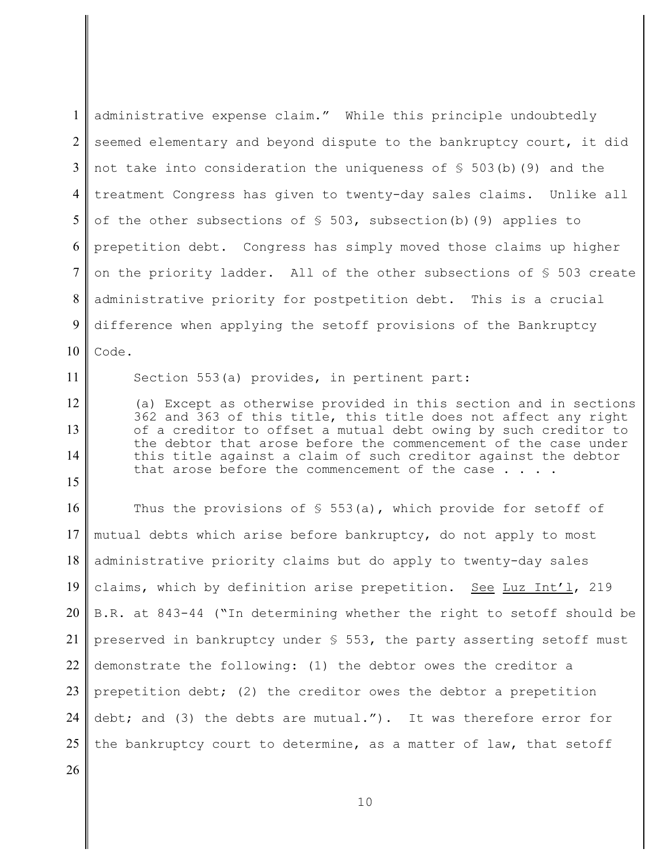1  $\mathcal{L}$ 3 4 5 6 7 8 9 10 administrative expense claim." While this principle undoubtedly seemed elementary and beyond dispute to the bankruptcy court, it did not take into consideration the uniqueness of  $\S$  503(b)(9) and the treatment Congress has given to twenty-day sales claims. Unlike all of the other subsections of  $\S$  503, subsection(b)(9) applies to prepetition debt. Congress has simply moved those claims up higher on the priority ladder. All of the other subsections of § 503 create administrative priority for postpetition debt. This is a crucial difference when applying the setoff provisions of the Bankruptcy Code.

Section 553(a) provides, in pertinent part:

(a) Except as otherwise provided in this section and in sections 362 and 363 of this title, this title does not affect any right of a creditor to offset a mutual debt owing by such creditor to the debtor that arose before the commencement of the case under this title against a claim of such creditor against the debtor that arose before the commencement of the case..

16 17 18 19 20 21 22 23 24 25 Thus the provisions of  $\S$  553(a), which provide for setoff of mutual debts which arise before bankruptcy, do not apply to most administrative priority claims but do apply to twenty-day sales claims, which by definition arise prepetition. See Luz Int'l, 219 B.R. at 843-44 ("In determining whether the right to setoff should be preserved in bankruptcy under  $\S$  553, the party asserting setoff must demonstrate the following: (1) the debtor owes the creditor a prepetition debt; (2) the creditor owes the debtor a prepetition debt; and (3) the debts are mutual."). It was therefore error for the bankruptcy court to determine, as a matter of law, that setoff

26

11

12

13

14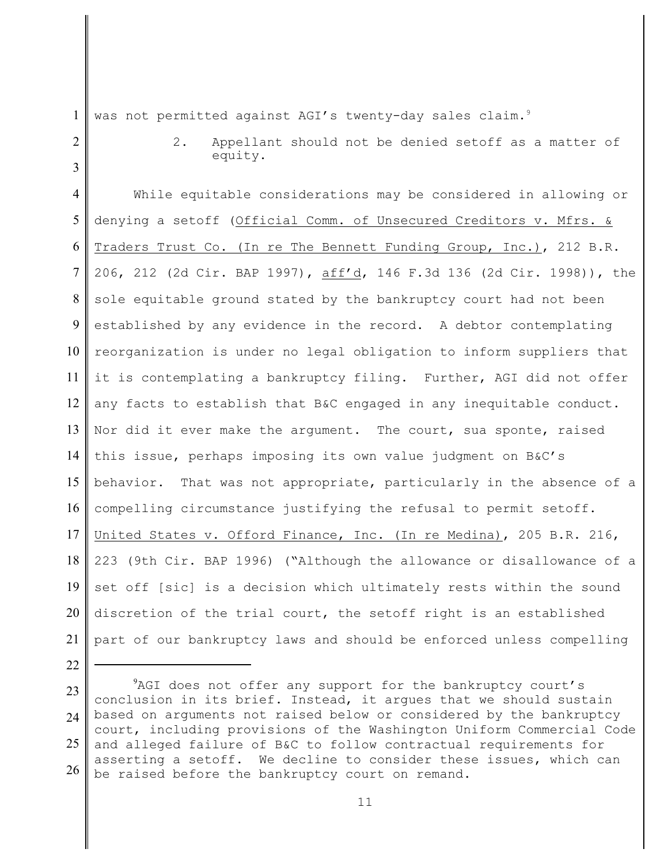1 2

3

22

was not permitted against AGI's twenty-day sales claim.<sup>9</sup>

2. Appellant should not be denied setoff as a matter of equity.

4 5 6 7 8 9 10 11 12 13 14 15 16 17 18 19 20 21 While equitable considerations may be considered in allowing or denying a setoff (Official Comm. of Unsecured Creditors v. Mfrs. & Traders Trust Co. (In re The Bennett Funding Group, Inc.), 212 B.R. 206, 212 (2d Cir. BAP 1997), aff'd, 146 F.3d 136 (2d Cir. 1998)), the sole equitable ground stated by the bankruptcy court had not been established by any evidence in the record. A debtor contemplating reorganization is under no legal obligation to inform suppliers that it is contemplating a bankruptcy filing. Further, AGI did not offer any facts to establish that B&C engaged in any inequitable conduct. Nor did it ever make the argument. The court, sua sponte, raised this issue, perhaps imposing its own value judgment on B&C's behavior. That was not appropriate, particularly in the absence of a compelling circumstance justifying the refusal to permit setoff. United States v. Offord Finance, Inc. (In re Medina), 205 B.R. 216, 223 (9th Cir. BAP 1996) ("Although the allowance or disallowance of a set off [sic] is a decision which ultimately rests within the sound discretion of the trial court, the setoff right is an established part of our bankruptcy laws and should be enforced unless compelling

<sup>23</sup> 24 25 26 AGI does not offer any support for the bankruptcy court's conclusion in its brief. Instead, it argues that we should sustain based on arguments not raised below or considered by the bankruptcy court, including provisions of the Washington Uniform Commercial Code and alleged failure of B&C to follow contractual requirements for asserting a setoff. We decline to consider these issues, which can be raised before the bankruptcy court on remand.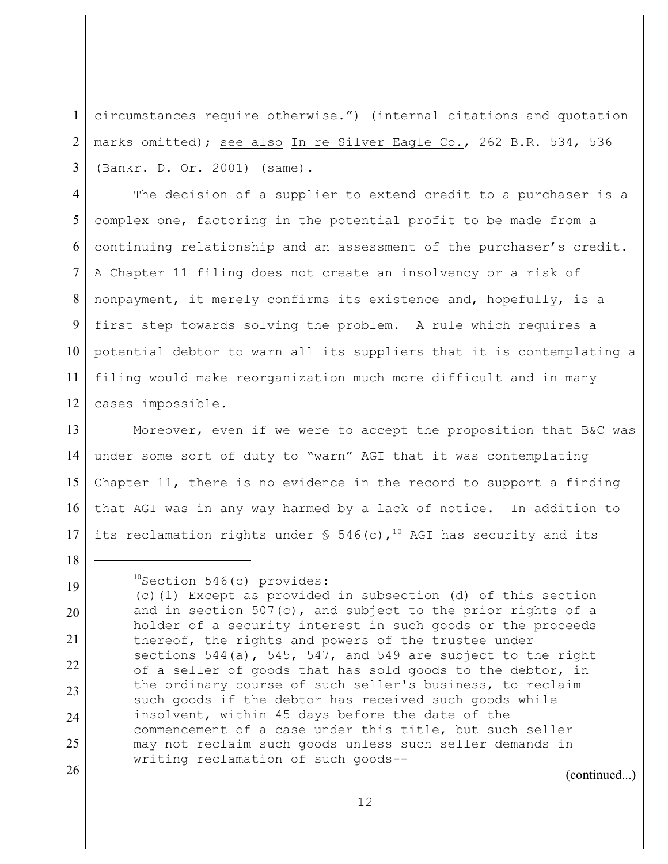1  $\mathcal{L}$ 3 circumstances require otherwise.") (internal citations and quotation marks omitted); see also In re Silver Eagle Co., 262 B.R. 534, 536 (Bankr. D. Or. 2001) (same).

4 5 6 7 8 9 10 11 12 The decision of a supplier to extend credit to a purchaser is a complex one, factoring in the potential profit to be made from a continuing relationship and an assessment of the purchaser's credit. A Chapter 11 filing does not create an insolvency or a risk of nonpayment, it merely confirms its existence and, hopefully, is a first step towards solving the problem. A rule which requires a potential debtor to warn all its suppliers that it is contemplating a filing would make reorganization much more difficult and in many cases impossible.

13 14 15 16 17 Moreover, even if we were to accept the proposition that B&C was under some sort of duty to "warn" AGI that it was contemplating Chapter 11, there is no evidence in the record to support a finding that AGI was in any way harmed by a lack of notice. In addition to its reclamation rights under  $\frac{10}{3}$  546(c),<sup>10</sup> AGI has security and its

26

18

19

 ${}^{10}$ Section 546(c) provides:

(continued...)

<sup>(</sup>c)(1) Except as provided in subsection (d) of this section and in section 507(c), and subject to the prior rights of a holder of a security interest in such goods or the proceeds thereof, the rights and powers of the trustee under sections 544(a), 545, 547, and 549 are subject to the right of a seller of goods that has sold goods to the debtor, in the ordinary course of such seller's business, to reclaim such goods if the debtor has received such goods while insolvent, within 45 days before the date of the commencement of a case under this title, but such seller may not reclaim such goods unless such seller demands in writing reclamation of such goods--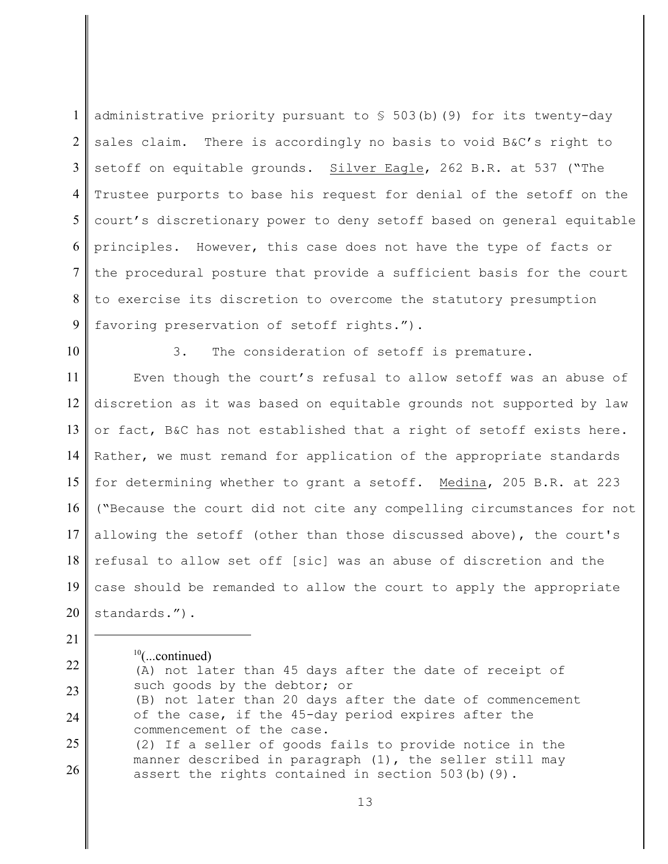1  $\mathcal{L}$ 3 4 5 6 7 8 9 administrative priority pursuant to  $\frac{1}{5}$  503(b)(9) for its twenty-day sales claim. There is accordingly no basis to void B&C's right to setoff on equitable grounds. Silver Eagle, 262 B.R. at 537 ("The Trustee purports to base his request for denial of the setoff on the court's discretionary power to deny setoff based on general equitable principles. However, this case does not have the type of facts or the procedural posture that provide a sufficient basis for the court to exercise its discretion to overcome the statutory presumption favoring preservation of setoff rights.").

10

21

3. The consideration of setoff is premature.

11 12 13 14 15 16 17 18 19 20 Even though the court's refusal to allow setoff was an abuse of discretion as it was based on equitable grounds not supported by law or fact, B&C has not established that a right of setoff exists here. Rather, we must remand for application of the appropriate standards for determining whether to grant a setoff. Medina, 205 B.R. at 223 ("Because the court did not cite any compelling circumstances for not allowing the setoff (other than those discussed above), the court's refusal to allow set off [sic] was an abuse of discretion and the case should be remanded to allow the court to apply the appropriate standards.").

 $10$ (...continued)

22 23 24 25 26 (A) not later than 45 days after the date of receipt of such goods by the debtor; or (B) not later than 20 days after the date of commencement of the case, if the 45-day period expires after the commencement of the case. (2) If a seller of goods fails to provide notice in the manner described in paragraph (1), the seller still may assert the rights contained in section 503(b)(9).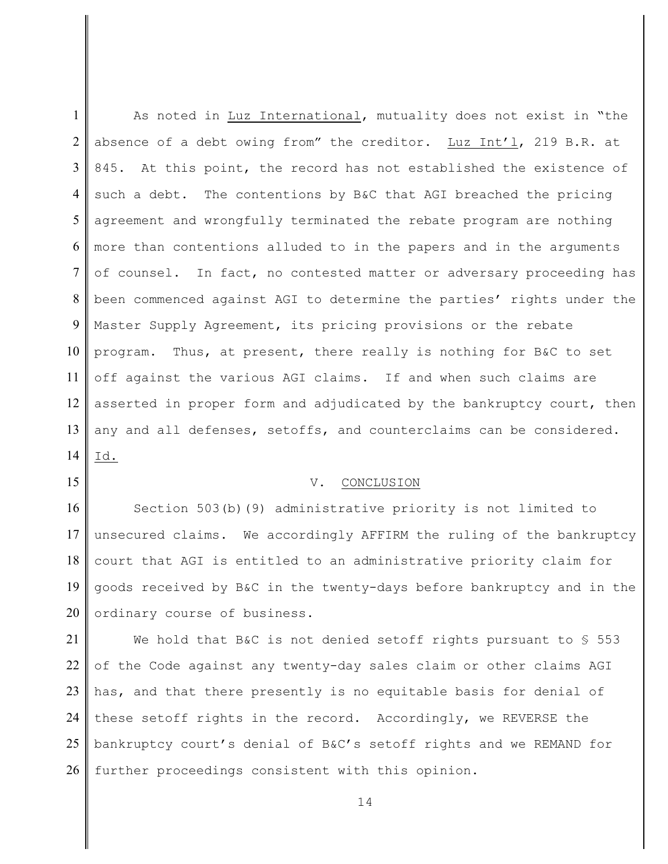1  $\mathfrak{D}$ 3 4 5 6 7 8 9 10 11 12 13 14 As noted in Luz International, mutuality does not exist in "the absence of a debt owing from" the creditor. Luz Int'l, 219 B.R. at 845. At this point, the record has not established the existence of such a debt. The contentions by B&C that AGI breached the pricing agreement and wrongfully terminated the rebate program are nothing more than contentions alluded to in the papers and in the arguments of counsel. In fact, no contested matter or adversary proceeding has been commenced against AGI to determine the parties' rights under the Master Supply Agreement, its pricing provisions or the rebate program. Thus, at present, there really is nothing for B&C to set off against the various AGI claims. If and when such claims are asserted in proper form and adjudicated by the bankruptcy court, then any and all defenses, setoffs, and counterclaims can be considered. Id.

## V. CONCLUSION

15

16 17 18 19 20 Section 503(b)(9) administrative priority is not limited to unsecured claims. We accordingly AFFIRM the ruling of the bankruptcy court that AGI is entitled to an administrative priority claim for goods received by B&C in the twenty-days before bankruptcy and in the ordinary course of business.

21 22 23 24 25 26 We hold that B&C is not denied setoff rights pursuant to  $$553$ of the Code against any twenty-day sales claim or other claims AGI has, and that there presently is no equitable basis for denial of these setoff rights in the record. Accordingly, we REVERSE the bankruptcy court's denial of B&C's setoff rights and we REMAND for further proceedings consistent with this opinion.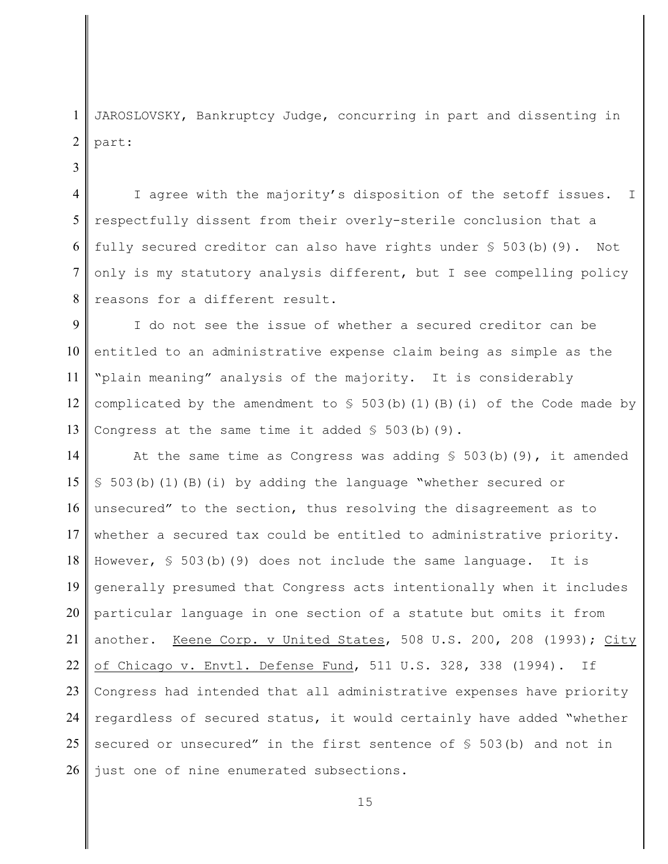1  $\mathfrak{D}$ JAROSLOVSKY, Bankruptcy Judge, concurring in part and dissenting in part:

3

4 5 6 7 8 I agree with the majority's disposition of the setoff issues. I respectfully dissent from their overly-sterile conclusion that a fully secured creditor can also have rights under  $\S$  503(b)(9). Not only is my statutory analysis different, but I see compelling policy reasons for a different result.

9 10 11 12 13 I do not see the issue of whether a secured creditor can be entitled to an administrative expense claim being as simple as the "plain meaning" analysis of the majority. It is considerably complicated by the amendment to  $\frac{1}{503}$ (b)(1)(B)(i) of the Code made by Congress at the same time it added  $\S$  503(b)(9).

14 15 16 17 18 19 20 21 22 23 24 25 26 At the same time as Congress was adding  $\S$  503(b)(9), it amended § 503(b)(1)(B)(i) by adding the language "whether secured or unsecured" to the section, thus resolving the disagreement as to whether a secured tax could be entitled to administrative priority. However, § 503(b)(9) does not include the same language. It is generally presumed that Congress acts intentionally when it includes particular language in one section of a statute but omits it from another. Keene Corp. v United States, 508 U.S. 200, 208 (1993); City of Chicago v. Envtl. Defense Fund, 511 U.S. 328, 338 (1994). If Congress had intended that all administrative expenses have priority regardless of secured status, it would certainly have added "whether secured or unsecured" in the first sentence of § 503(b) and not in just one of nine enumerated subsections.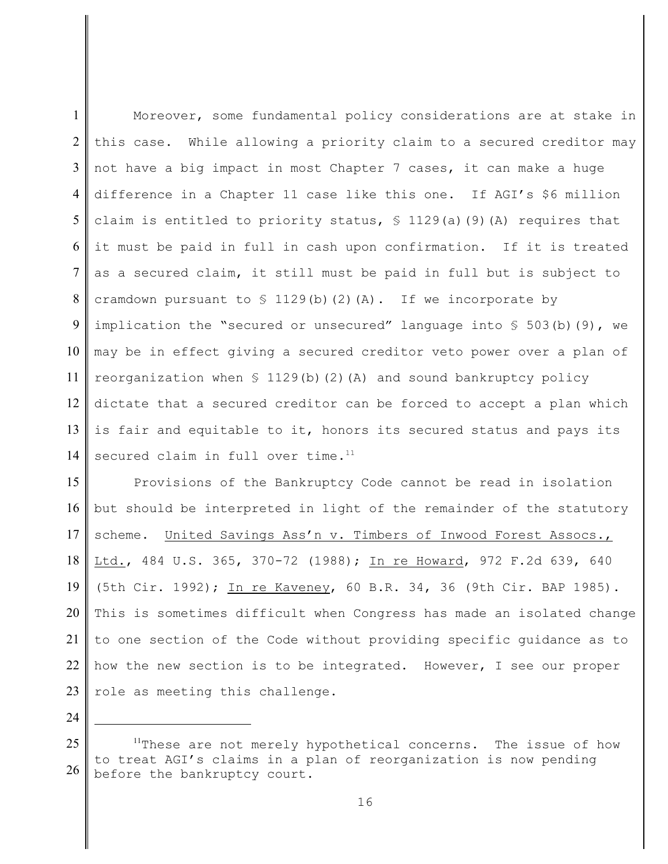1  $\mathcal{L}$ 3 4 5 6 7 8 9 10 11 12 13 14 Moreover, some fundamental policy considerations are at stake in this case. While allowing a priority claim to a secured creditor may not have a big impact in most Chapter 7 cases, it can make a huge difference in a Chapter 11 case like this one. If AGI's \$6 million claim is entitled to priority status,  $\frac{129}{a}$  (9)(A) requires that it must be paid in full in cash upon confirmation. If it is treated as a secured claim, it still must be paid in full but is subject to cramdown pursuant to  $\frac{129(b)(2)}{b}$  (2)(A). If we incorporate by implication the "secured or unsecured" language into  $\S$  503(b)(9), we may be in effect giving a secured creditor veto power over a plan of reorganization when  $\frac{129(b)}{2}$  (A) and sound bankruptcy policy dictate that a secured creditor can be forced to accept a plan which is fair and equitable to it, honors its secured status and pays its secured claim in full over time.<sup>11</sup>

15 16 17 18 19 20 21 22 23 Provisions of the Bankruptcy Code cannot be read in isolation but should be interpreted in light of the remainder of the statutory scheme. United Savings Ass'n v. Timbers of Inwood Forest Assocs., Ltd., 484 U.S. 365, 370-72 (1988); In re Howard, 972 F.2d 639, 640 (5th Cir. 1992); In re Kaveney, 60 B.R. 34, 36 (9th Cir. BAP 1985). This is sometimes difficult when Congress has made an isolated change to one section of the Code without providing specific guidance as to how the new section is to be integrated. However, I see our proper role as meeting this challenge.

<sup>25</sup> 26  $11$ These are not merely hypothetical concerns. The issue of how to treat AGI's claims in a plan of reorganization is now pending before the bankruptcy court.